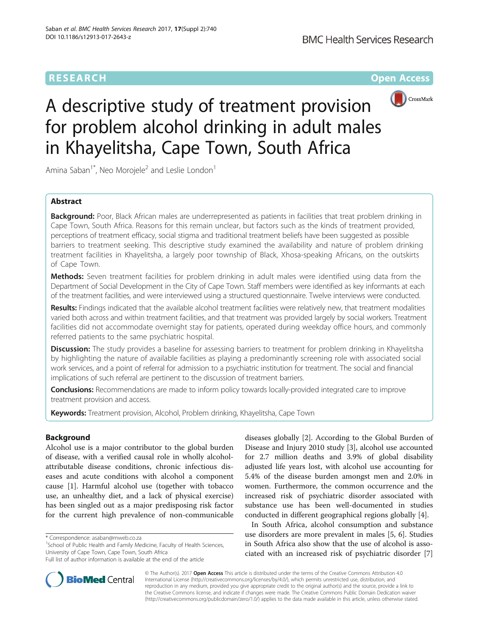# **RESEARCH CHE Open Access**



# A descriptive study of treatment provision for problem alcohol drinking in adult males in Khayelitsha, Cape Town, South Africa

Amina Saban<sup>1\*</sup>, Neo Morojele<sup>2</sup> and Leslie London<sup>1</sup>

# Abstract

Background: Poor, Black African males are underrepresented as patients in facilities that treat problem drinking in Cape Town, South Africa. Reasons for this remain unclear, but factors such as the kinds of treatment provided, perceptions of treatment efficacy, social stigma and traditional treatment beliefs have been suggested as possible barriers to treatment seeking. This descriptive study examined the availability and nature of problem drinking treatment facilities in Khayelitsha, a largely poor township of Black, Xhosa-speaking Africans, on the outskirts of Cape Town.

Methods: Seven treatment facilities for problem drinking in adult males were identified using data from the Department of Social Development in the City of Cape Town. Staff members were identified as key informants at each of the treatment facilities, and were interviewed using a structured questionnaire. Twelve interviews were conducted.

Results: Findings indicated that the available alcohol treatment facilities were relatively new, that treatment modalities varied both across and within treatment facilities, and that treatment was provided largely by social workers. Treatment facilities did not accommodate overnight stay for patients, operated during weekday office hours, and commonly referred patients to the same psychiatric hospital.

**Discussion:** The study provides a baseline for assessing barriers to treatment for problem drinking in Khayelitsha by highlighting the nature of available facilities as playing a predominantly screening role with associated social work services, and a point of referral for admission to a psychiatric institution for treatment. The social and financial implications of such referral are pertinent to the discussion of treatment barriers.

**Conclusions:** Recommendations are made to inform policy towards locally-provided integrated care to improve treatment provision and access.

Keywords: Treatment provision, Alcohol, Problem drinking, Khayelitsha, Cape Town

# Background

Alcohol use is a major contributor to the global burden of disease, with a verified causal role in wholly alcoholattributable disease conditions, chronic infectious diseases and acute conditions with alcohol a component cause [\[1\]](#page-6-0). Harmful alcohol use (together with tobacco use, an unhealthy diet, and a lack of physical exercise) has been singled out as a major predisposing risk factor for the current high prevalence of non-communicable

<sup>1</sup>School of Public Health and Family Medicine, Faculty of Health Sciences, University of Cape Town, Cape Town, South Africa

diseases globally [[2\]](#page-6-0). According to the Global Burden of Disease and Injury 2010 study [[3](#page-6-0)], alcohol use accounted for 2.7 million deaths and 3.9% of global disability adjusted life years lost, with alcohol use accounting for 5.4% of the disease burden amongst men and 2.0% in women. Furthermore, the common occurrence and the increased risk of psychiatric disorder associated with substance use has been well-documented in studies conducted in different geographical regions globally [\[4](#page-6-0)].

In South Africa, alcohol consumption and substance use disorders are more prevalent in males [\[5](#page-6-0), [6](#page-6-0)]. Studies in South Africa also show that the use of alcohol is associated with an increased risk of psychiatric disorder [\[7](#page-6-0)]



© The Author(s). 2017 **Open Access** This article is distributed under the terms of the Creative Commons Attribution 4.0 International License [\(http://creativecommons.org/licenses/by/4.0/](http://creativecommons.org/licenses/by/4.0/)), which permits unrestricted use, distribution, and reproduction in any medium, provided you give appropriate credit to the original author(s) and the source, provide a link to the Creative Commons license, and indicate if changes were made. The Creative Commons Public Domain Dedication waiver [\(http://creativecommons.org/publicdomain/zero/1.0/](http://creativecommons.org/publicdomain/zero/1.0/)) applies to the data made available in this article, unless otherwise stated.

<sup>\*</sup> Correspondence: [asaban@mweb.co.za](mailto:asaban@mweb.co.za) <sup>1</sup>

Full list of author information is available at the end of the article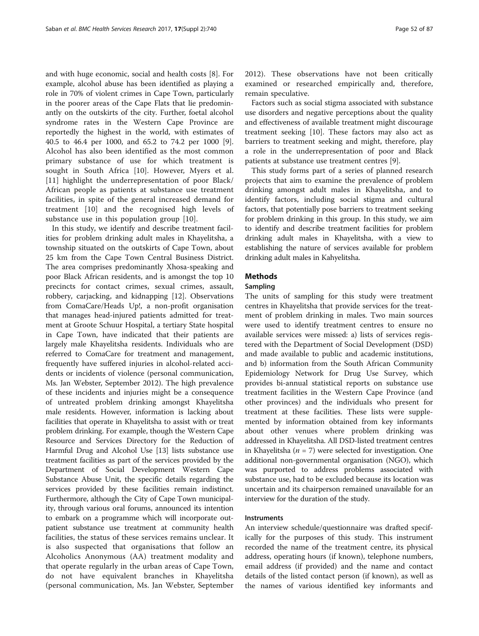and with huge economic, social and health costs [\[8](#page-7-0)]. For example, alcohol abuse has been identified as playing a role in 70% of violent crimes in Cape Town, particularly in the poorer areas of the Cape Flats that lie predominantly on the outskirts of the city. Further, foetal alcohol syndrome rates in the Western Cape Province are reportedly the highest in the world, with estimates of 40.5 to 46.4 per 1000, and 65.2 to 74.2 per 1000 [\[9](#page-7-0)]. Alcohol has also been identified as the most common primary substance of use for which treatment is sought in South Africa [[10\]](#page-7-0). However, Myers et al. [[11\]](#page-7-0) highlight the underrepresentation of poor Black/ African people as patients at substance use treatment facilities, in spite of the general increased demand for treatment [[10](#page-7-0)] and the recognised high levels of substance use in this population group [[10\]](#page-7-0).

In this study, we identify and describe treatment facilities for problem drinking adult males in Khayelitsha, a township situated on the outskirts of Cape Town, about 25 km from the Cape Town Central Business District. The area comprises predominantly Xhosa-speaking and poor Black African residents, and is amongst the top 10 precincts for contact crimes, sexual crimes, assault, robbery, carjacking, and kidnapping [[12\]](#page-7-0). Observations from ComaCare/Heads Up!, a non-profit organisation that manages head-injured patients admitted for treatment at Groote Schuur Hospital, a tertiary State hospital in Cape Town, have indicated that their patients are largely male Khayelitsha residents. Individuals who are referred to ComaCare for treatment and management, frequently have suffered injuries in alcohol-related accidents or incidents of violence (personal communication, Ms. Jan Webster, September 2012). The high prevalence of these incidents and injuries might be a consequence of untreated problem drinking amongst Khayelitsha male residents. However, information is lacking about facilities that operate in Khayelitsha to assist with or treat problem drinking. For example, though the Western Cape Resource and Services Directory for the Reduction of Harmful Drug and Alcohol Use [\[13\]](#page-7-0) lists substance use treatment facilities as part of the services provided by the Department of Social Development Western Cape Substance Abuse Unit, the specific details regarding the services provided by these facilities remain indistinct. Furthermore, although the City of Cape Town municipality, through various oral forums, announced its intention to embark on a programme which will incorporate outpatient substance use treatment at community health facilities, the status of these services remains unclear. It is also suspected that organisations that follow an Alcoholics Anonymous (AA) treatment modality and that operate regularly in the urban areas of Cape Town, do not have equivalent branches in Khayelitsha (personal communication, Ms. Jan Webster, September 2012). These observations have not been critically examined or researched empirically and, therefore, remain speculative.

Factors such as social stigma associated with substance use disorders and negative perceptions about the quality and effectiveness of available treatment might discourage treatment seeking [\[10](#page-7-0)]. These factors may also act as barriers to treatment seeking and might, therefore, play a role in the underrepresentation of poor and Black patients at substance use treatment centres [[9\]](#page-7-0).

This study forms part of a series of planned research projects that aim to examine the prevalence of problem drinking amongst adult males in Khayelitsha, and to identify factors, including social stigma and cultural factors, that potentially pose barriers to treatment seeking for problem drinking in this group. In this study, we aim to identify and describe treatment facilities for problem drinking adult males in Khayelitsha, with a view to establishing the nature of services available for problem drinking adult males in Kahyelitsha.

## **Methods**

## Sampling

The units of sampling for this study were treatment centres in Khayelitsha that provide services for the treatment of problem drinking in males. Two main sources were used to identify treatment centres to ensure no available services were missed: a) lists of services registered with the Department of Social Development (DSD) and made available to public and academic institutions, and b) information from the South African Community Epidemiology Network for Drug Use Survey, which provides bi-annual statistical reports on substance use treatment facilities in the Western Cape Province (and other provinces) and the individuals who present for treatment at these facilities. These lists were supplemented by information obtained from key informants about other venues where problem drinking was addressed in Khayelitsha. All DSD-listed treatment centres in Khayelitsha ( $n = 7$ ) were selected for investigation. One additional non-governmental organisation (NGO), which was purported to address problems associated with substance use, had to be excluded because its location was uncertain and its chairperson remained unavailable for an interview for the duration of the study.

## Instruments

An interview schedule/questionnaire was drafted specifically for the purposes of this study. This instrument recorded the name of the treatment centre, its physical address, operating hours (if known), telephone numbers, email address (if provided) and the name and contact details of the listed contact person (if known), as well as the names of various identified key informants and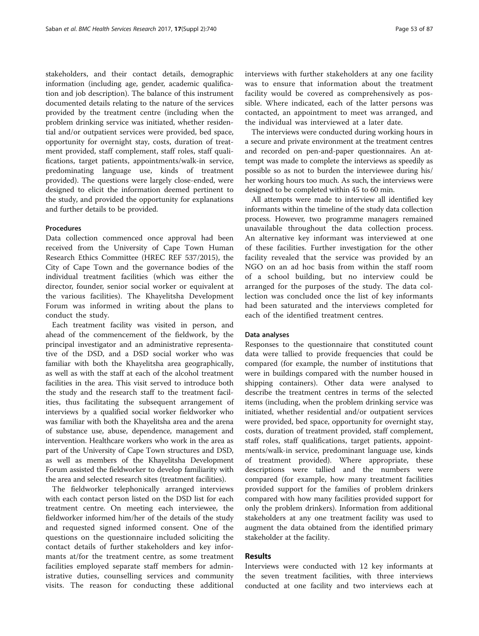stakeholders, and their contact details, demographic information (including age, gender, academic qualification and job description). The balance of this instrument documented details relating to the nature of the services provided by the treatment centre (including when the problem drinking service was initiated, whether residential and/or outpatient services were provided, bed space, opportunity for overnight stay, costs, duration of treatment provided, staff complement, staff roles, staff qualifications, target patients, appointments/walk-in service, predominating language use, kinds of treatment provided). The questions were largely close-ended, were designed to elicit the information deemed pertinent to the study, and provided the opportunity for explanations and further details to be provided.

## Procedures

Data collection commenced once approval had been received from the University of Cape Town Human Research Ethics Committee (HREC REF 537/2015), the City of Cape Town and the governance bodies of the individual treatment facilities (which was either the director, founder, senior social worker or equivalent at the various facilities). The Khayelitsha Development Forum was informed in writing about the plans to conduct the study.

Each treatment facility was visited in person, and ahead of the commencement of the fieldwork, by the principal investigator and an administrative representative of the DSD, and a DSD social worker who was familiar with both the Khayelitsha area geographically, as well as with the staff at each of the alcohol treatment facilities in the area. This visit served to introduce both the study and the research staff to the treatment facilities, thus facilitating the subsequent arrangement of interviews by a qualified social worker fieldworker who was familiar with both the Khayelitsha area and the arena of substance use, abuse, dependence, management and intervention. Healthcare workers who work in the area as part of the University of Cape Town structures and DSD, as well as members of the Khayelitsha Development Forum assisted the fieldworker to develop familiarity with the area and selected research sites (treatment facilities).

The fieldworker telephonically arranged interviews with each contact person listed on the DSD list for each treatment centre. On meeting each interviewee, the fieldworker informed him/her of the details of the study and requested signed informed consent. One of the questions on the questionnaire included soliciting the contact details of further stakeholders and key informants at/for the treatment centre, as some treatment facilities employed separate staff members for administrative duties, counselling services and community visits. The reason for conducting these additional interviews with further stakeholders at any one facility was to ensure that information about the treatment facility would be covered as comprehensively as possible. Where indicated, each of the latter persons was contacted, an appointment to meet was arranged, and the individual was interviewed at a later date.

The interviews were conducted during working hours in a secure and private environment at the treatment centres and recorded on pen-and-paper questionnaires. An attempt was made to complete the interviews as speedily as possible so as not to burden the interviewee during his/ her working hours too much. As such, the interviews were designed to be completed within 45 to 60 min.

All attempts were made to interview all identified key informants within the timeline of the study data collection process. However, two programme managers remained unavailable throughout the data collection process. An alternative key informant was interviewed at one of these facilities. Further investigation for the other facility revealed that the service was provided by an NGO on an ad hoc basis from within the staff room of a school building, but no interview could be arranged for the purposes of the study. The data collection was concluded once the list of key informants had been saturated and the interviews completed for each of the identified treatment centres.

## Data analyses

Responses to the questionnaire that constituted count data were tallied to provide frequencies that could be compared (for example, the number of institutions that were in buildings compared with the number housed in shipping containers). Other data were analysed to describe the treatment centres in terms of the selected items (including, when the problem drinking service was initiated, whether residential and/or outpatient services were provided, bed space, opportunity for overnight stay, costs, duration of treatment provided, staff complement, staff roles, staff qualifications, target patients, appointments/walk-in service, predominant language use, kinds of treatment provided). Where appropriate, these descriptions were tallied and the numbers were compared (for example, how many treatment facilities provided support for the families of problem drinkers compared with how many facilities provided support for only the problem drinkers). Information from additional stakeholders at any one treatment facility was used to augment the data obtained from the identified primary stakeholder at the facility.

## Results

Interviews were conducted with 12 key informants at the seven treatment facilities, with three interviews conducted at one facility and two interviews each at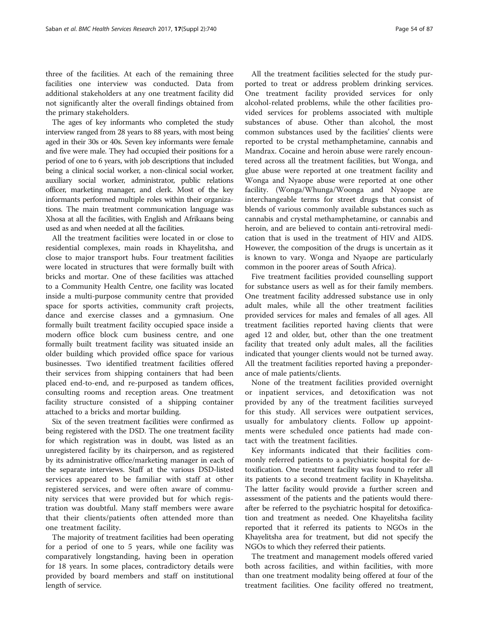three of the facilities. At each of the remaining three facilities one interview was conducted. Data from additional stakeholders at any one treatment facility did not significantly alter the overall findings obtained from the primary stakeholders.

The ages of key informants who completed the study interview ranged from 28 years to 88 years, with most being aged in their 30s or 40s. Seven key informants were female and five were male. They had occupied their positions for a period of one to 6 years, with job descriptions that included being a clinical social worker, a non-clinical social worker, auxiliary social worker, administrator, public relations officer, marketing manager, and clerk. Most of the key informants performed multiple roles within their organizations. The main treatment communication language was Xhosa at all the facilities, with English and Afrikaans being used as and when needed at all the facilities.

All the treatment facilities were located in or close to residential complexes, main roads in Khayelitsha, and close to major transport hubs. Four treatment facilities were located in structures that were formally built with bricks and mortar. One of these facilities was attached to a Community Health Centre, one facility was located inside a multi-purpose community centre that provided space for sports activities, community craft projects, dance and exercise classes and a gymnasium. One formally built treatment facility occupied space inside a modern office block cum business centre, and one formally built treatment facility was situated inside an older building which provided office space for various businesses. Two identified treatment facilities offered their services from shipping containers that had been placed end-to-end, and re-purposed as tandem offices, consulting rooms and reception areas. One treatment facility structure consisted of a shipping container attached to a bricks and mortar building.

Six of the seven treatment facilities were confirmed as being registered with the DSD. The one treatment facility for which registration was in doubt, was listed as an unregistered facility by its chairperson, and as registered by its administrative office/marketing manager in each of the separate interviews. Staff at the various DSD-listed services appeared to be familiar with staff at other registered services, and were often aware of community services that were provided but for which registration was doubtful. Many staff members were aware that their clients/patients often attended more than one treatment facility.

The majority of treatment facilities had been operating for a period of one to 5 years, while one facility was comparatively longstanding, having been in operation for 18 years. In some places, contradictory details were provided by board members and staff on institutional length of service.

All the treatment facilities selected for the study purported to treat or address problem drinking services. One treatment facility provided services for only alcohol-related problems, while the other facilities provided services for problems associated with multiple substances of abuse. Other than alcohol, the most common substances used by the facilities' clients were reported to be crystal methamphetamine, cannabis and Mandrax. Cocaine and heroin abuse were rarely encountered across all the treatment facilities, but Wonga, and glue abuse were reported at one treatment facility and Wonga and Nyaope abuse were reported at one other facility. (Wonga/Whunga/Woonga and Nyaope are interchangeable terms for street drugs that consist of blends of various commonly available substances such as cannabis and crystal methamphetamine, or cannabis and heroin, and are believed to contain anti-retroviral medication that is used in the treatment of HIV and AIDS. However, the composition of the drugs is uncertain as it is known to vary. Wonga and Nyaope are particularly common in the poorer areas of South Africa).

Five treatment facilities provided counselling support for substance users as well as for their family members. One treatment facility addressed substance use in only adult males, while all the other treatment facilities provided services for males and females of all ages. All treatment facilities reported having clients that were aged 12 and older, but, other than the one treatment facility that treated only adult males, all the facilities indicated that younger clients would not be turned away. All the treatment facilities reported having a preponderance of male patients/clients.

None of the treatment facilities provided overnight or inpatient services, and detoxification was not provided by any of the treatment facilities surveyed for this study. All services were outpatient services, usually for ambulatory clients. Follow up appointments were scheduled once patients had made contact with the treatment facilities.

Key informants indicated that their facilities commonly referred patients to a psychiatric hospital for detoxification. One treatment facility was found to refer all its patients to a second treatment facility in Khayelitsha. The latter facility would provide a further screen and assessment of the patients and the patients would thereafter be referred to the psychiatric hospital for detoxification and treatment as needed. One Khayelitsha facility reported that it referred its patients to NGOs in the Khayelitsha area for treatment, but did not specify the NGOs to which they referred their patients.

The treatment and management models offered varied both across facilities, and within facilities, with more than one treatment modality being offered at four of the treatment facilities. One facility offered no treatment,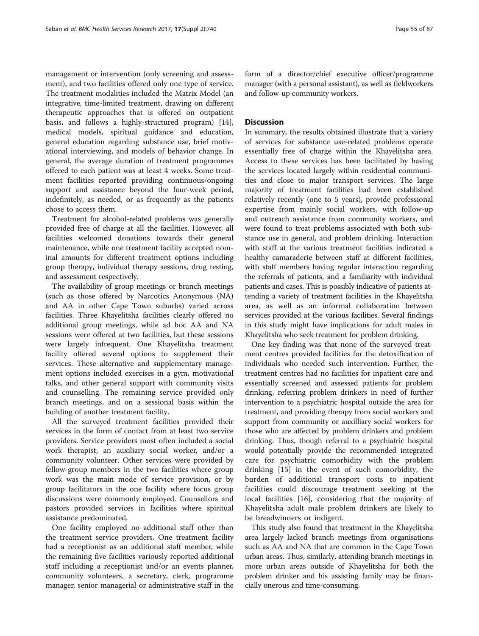management or intervention (only screening and assessment), and two facilities offered only one type of service. The treatment modalities included the Matrix Model (an integrative, time-limited treatment, drawing on different therapeutic approaches that is offered on outpatient basis, and follows a highly-structured program) [\[14](#page-7-0)], medical models, spiritual guidance and education, general education regarding substance use, brief motivational interviewing, and models of behavior change. In general, the average duration of treatment programmes offered to each patient was at least 4 weeks. Some treatment facilities reported providing continuous/ongoing support and assistance beyond the four-week period, indefinitely, as needed, or as frequently as the patients chose to access them.

Treatment for alcohol-related problems was generally provided free of charge at all the facilities. However, all facilities welcomed donations towards their general maintenance, while one treatment facility accepted nominal amounts for different treatment options including group therapy, individual therapy sessions, drug testing, and assessment respectively.

The availability of group meetings or branch meetings (such as those offered by Narcotics Anonymous (NA) and AA in other Cape Town suburbs) varied across facilities. Three Khayelitsha facilities clearly offered no additional group meetings, while ad hoc AA and NA sessions were offered at two facilities, but these sessions were largely infrequent. One Khayelitsha treatment facility offered several options to supplement their services. These alternative and supplementary management options included exercises in a gym, motivational talks, and other general support with community visits and counselling. The remaining service provided only branch meetings, and on a sessional basis within the building of another treatment facility.

All the surveyed treatment facilities provided their services in the form of contact from at least two service providers. Service providers most often included a social work therapist, an auxiliary social worker, and/or a community volunteer. Other services were provided by fellow-group members in the two facilities where group work was the main mode of service provision, or by group facilitators in the one facility where focus group discussions were commonly employed. Counsellors and pastors provided services in facilities where spiritual assistance predominated.

One facility employed no additional staff other than the treatment service providers. One treatment facility had a receptionist as an additional staff member, while the remaining five facilities variously reported additional staff including a receptionist and/or an events planner, community volunteers, a secretary, clerk, programme manager, senior managerial or administrative staff in the form of a director/chief executive officer/programme manager (with a personal assistant), as well as fieldworkers and follow-up community workers.

## **Discussion**

In summary, the results obtained illustrate that a variety of services for substance use-related problems operate essentially free of charge within the Khayelitsha area. Access to these services has been facilitated by having the services located largely within residential communities and close to major transport services. The large majority of treatment facilities had been established relatively recently (one to 5 years), provide professional expertise from mainly social workers, with follow-up and outreach assistance from community workers, and were found to treat problems associated with both substance use in general, and problem drinking. Interaction with staff at the various treatment facilities indicated a healthy camaraderie between staff at different facilities, with staff members having regular interaction regarding the referrals of patients, and a familiarity with individual patients and cases. This is possibly indicative of patients attending a variety of treatment facilities in the Khayelitsha area, as well as an informal collaboration between services provided at the various facilities. Several findings in this study might have implications for adult males in Khayelitsha who seek treatment for problem drinking.

One key finding was that none of the surveyed treatment centres provided facilities for the detoxification of individuals who needed such intervention. Further, the treatment centres had no facilities for inpatient care and essentially screened and assessed patients for problem drinking, referring problem drinkers in need of further intervention to a psychiatric hospital outside the area for treatment, and providing therapy from social workers and support from community or auxilliary social workers for those who are affected by problem drinkers and problem drinking. Thus, though referral to a psychiatric hospital would potentially provide the recommended integrated care for psychiatric comorbidity with the problem drinking [[15\]](#page-7-0) in the event of such comorbidity, the burden of additional transport costs to inpatient facilities could discourage treatment seeking at the local facilities [\[16](#page-7-0)], considering that the majority of Khayelitsha adult male problem drinkers are likely to be breadwinners or indigent.

This study also found that treatment in the Khayelitsha area largely lacked branch meetings from organisations such as AA and NA that are common in the Cape Town urban areas. Thus, similarly, attending branch meetings in more urban areas outside of Khayelitsha for both the problem drinker and his assisting family may be financially onerous and time-consuming.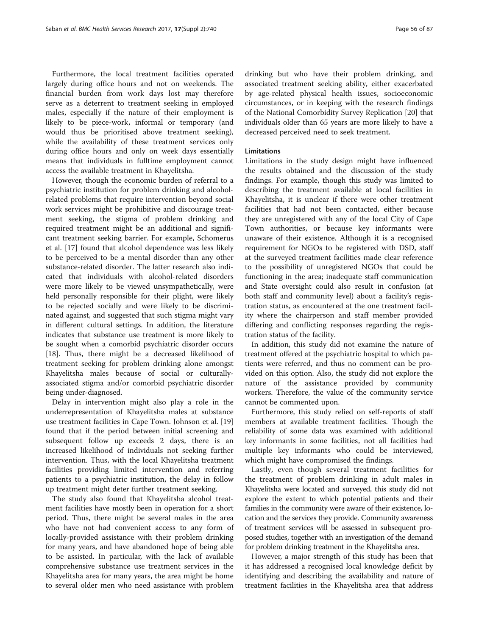Furthermore, the local treatment facilities operated largely during office hours and not on weekends. The financial burden from work days lost may therefore serve as a deterrent to treatment seeking in employed males, especially if the nature of their employment is likely to be piece-work, informal or temporary (and would thus be prioritised above treatment seeking), while the availability of these treatment services only during office hours and only on week days essentially means that individuals in fulltime employment cannot access the available treatment in Khayelitsha.

However, though the economic burden of referral to a psychiatric institution for problem drinking and alcoholrelated problems that require intervention beyond social work services might be prohibitive and discourage treatment seeking, the stigma of problem drinking and required treatment might be an additional and significant treatment seeking barrier. For example, Schomerus et al. [[17](#page-7-0)] found that alcohol dependence was less likely to be perceived to be a mental disorder than any other substance-related disorder. The latter research also indicated that individuals with alcohol-related disorders were more likely to be viewed unsympathetically, were held personally responsible for their plight, were likely to be rejected socially and were likely to be discriminated against, and suggested that such stigma might vary in different cultural settings. In addition, the literature indicates that substance use treatment is more likely to be sought when a comorbid psychiatric disorder occurs [[18\]](#page-7-0). Thus, there might be a decreased likelihood of treatment seeking for problem drinking alone amongst Khayelitsha males because of social or culturallyassociated stigma and/or comorbid psychiatric disorder being under-diagnosed.

Delay in intervention might also play a role in the underrepresentation of Khayelitsha males at substance use treatment facilities in Cape Town. Johnson et al. [[19](#page-7-0)] found that if the period between initial screening and subsequent follow up exceeds 2 days, there is an increased likelihood of individuals not seeking further intervention. Thus, with the local Khayelitsha treatment facilities providing limited intervention and referring patients to a psychiatric institution, the delay in follow up treatment might deter further treatment seeking.

The study also found that Khayelitsha alcohol treatment facilities have mostly been in operation for a short period. Thus, there might be several males in the area who have not had convenient access to any form of locally-provided assistance with their problem drinking for many years, and have abandoned hope of being able to be assisted. In particular, with the lack of available comprehensive substance use treatment services in the Khayelitsha area for many years, the area might be home to several older men who need assistance with problem drinking but who have their problem drinking, and associated treatment seeking ability, either exacerbated by age-related physical health issues, socioeconomic circumstances, or in keeping with the research findings of the National Comorbidity Survey Replication [[20](#page-7-0)] that individuals older than 65 years are more likely to have a decreased perceived need to seek treatment.

## Limitations

Limitations in the study design might have influenced the results obtained and the discussion of the study findings. For example, though this study was limited to describing the treatment available at local facilities in Khayelitsha, it is unclear if there were other treatment facilities that had not been contacted, either because they are unregistered with any of the local City of Cape Town authorities, or because key informants were unaware of their existence. Although it is a recognised requirement for NGOs to be registered with DSD, staff at the surveyed treatment facilities made clear reference to the possibility of unregistered NGOs that could be functioning in the area; inadequate staff communication and State oversight could also result in confusion (at both staff and community level) about a facility's registration status, as encountered at the one treatment facility where the chairperson and staff member provided differing and conflicting responses regarding the registration status of the facility.

In addition, this study did not examine the nature of treatment offered at the psychiatric hospital to which patients were referred, and thus no comment can be provided on this option. Also, the study did not explore the nature of the assistance provided by community workers. Therefore, the value of the community service cannot be commented upon.

Furthermore, this study relied on self-reports of staff members at available treatment facilities. Though the reliability of some data was examined with additional key informants in some facilities, not all facilities had multiple key informants who could be interviewed, which might have compromised the findings.

Lastly, even though several treatment facilities for the treatment of problem drinking in adult males in Khayelitsha were located and surveyed, this study did not explore the extent to which potential patients and their families in the community were aware of their existence, location and the services they provide. Community awareness of treatment services will be assessed in subsequent proposed studies, together with an investigation of the demand for problem drinking treatment in the Khayelitsha area.

However, a major strength of this study has been that it has addressed a recognised local knowledge deficit by identifying and describing the availability and nature of treatment facilities in the Khayelitsha area that address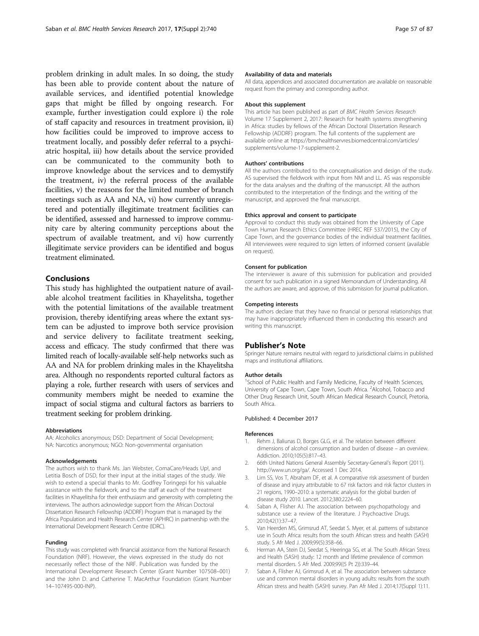<span id="page-6-0"></span>problem drinking in adult males. In so doing, the study has been able to provide content about the nature of available services, and identified potential knowledge gaps that might be filled by ongoing research. For example, further investigation could explore i) the role of staff capacity and resources in treatment provision, ii) how facilities could be improved to improve access to treatment locally, and possibly defer referral to a psychiatric hospital, iii) how details about the service provided can be communicated to the community both to improve knowledge about the services and to demystify the treatment, iv) the referral process of the available facilities, v) the reasons for the limited number of branch meetings such as AA and NA, vi) how currently unregistered and potentially illegitimate treatment facilities can be identified, assessed and harnessed to improve community care by altering community perceptions about the spectrum of available treatment, and vi) how currently illegitimate service providers can be identified and bogus treatment eliminated.

## Conclusions

This study has highlighted the outpatient nature of available alcohol treatment facilities in Khayelitsha, together with the potential limitations of the available treatment provision, thereby identifying areas where the extant system can be adjusted to improve both service provision and service delivery to facilitate treatment seeking, access and efficacy. The study confirmed that there was limited reach of locally-available self-help networks such as AA and NA for problem drinking males in the Khayelitsha area. Although no respondents reported cultural factors as playing a role, further research with users of services and community members might be needed to examine the impact of social stigma and cultural factors as barriers to treatment seeking for problem drinking.

#### Abbreviations

AA: Alcoholics anonymous; DSD: Department of Social Development; NA: Narcotics anonymous; NGO: Non-governmental organisation

#### Acknowledgements

The authors wish to thank Ms. Jan Webster, ComaCare/Heads Up!, and Letitia Bosch of DSD, for their input at the initial stages of the study. We wish to extend a special thanks to Mr. Godfrey Toringepi for his valuable assistance with the fieldwork, and to the staff at each of the treatment facilities in Khayelitsha for their enthusiasm and generosity with completing the interviews. The authors acknowledge support from the African Doctoral Dissertation Research Fellowship (ADDRF) Program that is managed by the Africa Population and Health Research Center (APHRC) in partnership with the International Development Research Centre (IDRC).

## Funding

This study was completed with financial assistance from the National Research Foundation (NRF). However, the views expressed in the study do not necessarily reflect those of the NRF. Publication was funded by the International Development Research Center (Grant Number 107508–001) and the John D. and Catherine T. MacArthur Foundation (Grant Number 14–107495-000-INP).

### Availability of data and materials

All data, appendices and associated documentation are available on reasonable request from the primary and corresponding author.

#### About this supplement

This article has been published as part of BMC Health Services Research Volume 17 Supplement 2, 2017: Research for health systems strengthening in Africa: studies by fellows of the African Doctoral Dissertation Research Fellowship (ADDRF) program. The full contents of the supplement are available online at [https://bmchealthservres.biomedcentral.com/articles/](https://bmchealthservres.biomedcentral.com/articles/supplements/volume-17-supplement-2) [supplements/volume-17-supplement-2.](https://bmchealthservres.biomedcentral.com/articles/supplements/volume-17-supplement-2)

#### Authors' contributions

All the authors contributed to the conceptualisation and design of the study. AS supervised the fieldwork with input from NM and LL. AS was responsible for the data analyses and the drafting of the manuscript. All the authors contributed to the interpretation of the findings and the writing of the manuscript, and approved the final manuscript.

#### Ethics approval and consent to participate

Approval to conduct this study was obtained from the University of Cape Town Human Research Ethics Committee (HREC REF 537/2015), the City of Cape Town, and the governance bodies of the individual treatment facilities. All interviewees were required to sign letters of informed consent (available) on request).

#### Consent for publication

The interviewer is aware of this submission for publication and provided consent for such publication in a signed Memorandum of Understanding. All the authors are aware, and approve, of this submission for journal publication.

#### Competing interests

The authors declare that they have no financial or personal relationships that may have inappropriately influenced them in conducting this research and writing this manuscript.

## Publisher's Note

Springer Nature remains neutral with regard to jurisdictional claims in published maps and institutional affiliations.

#### Author details

<sup>1</sup>School of Public Health and Family Medicine, Faculty of Health Sciences, University of Cape Town, Cape Town, South Africa. <sup>2</sup>Alcohol, Tobacco and Other Drug Research Unit, South African Medical Research Council, Pretoria, South Africa.

#### Published: 4 December 2017

#### References

- 1. Rehm J, Baliunas D, Borges GLG, et al. The relation between different dimensions of alcohol consumption and burden of disease – an overview. Addiction. 2010;105(5):817–43.
- 2. 66th United Nations General Assembly Secretary-General's Report (2011). [http://www.un.org/ga/.](http://www.un.org/ga/) Accessed 1 Dec 2014.
- 3. Lim SS, Vos T, Abraham DF, et al. A comparative risk assessment of burden of disease and injury attributable to 67 risk factors and risk factor clusters in 21 regions, 1990–2010: a systematic analysis for the global burden of disease study 2010. Lancet. 2012;380:2224–60.
- 4. Saban A, Flisher AJ. The association between psychopathology and substance use: a review of the literature. J Psychoactive Drugs. 2010;42(1):37–47.
- 5. Van Heerden MS, Grimsrud AT, Seedat S. Myer, et al. patterns of substance use in South Africa: results from the south African stress and health (SASH) study. S Afr Med J. 2009;99(5):358–66.
- 6. Herman AA, Stein DJ, Seedat S, Heeringa SG, et al. The South African Stress and Health (SASH) study: 12 month and lifetime prevalence of common mental disorders. S Afr Med. 2009;99((5 Pt 2)):339–44.
- 7. Saban A, Flisher AJ, Grimsrud A, et al. The association between substance use and common mental disorders in young adults: results from the south African stress and health (SASH) survey. Pan Afr Med J. 2014;17(Suppl 1):11.